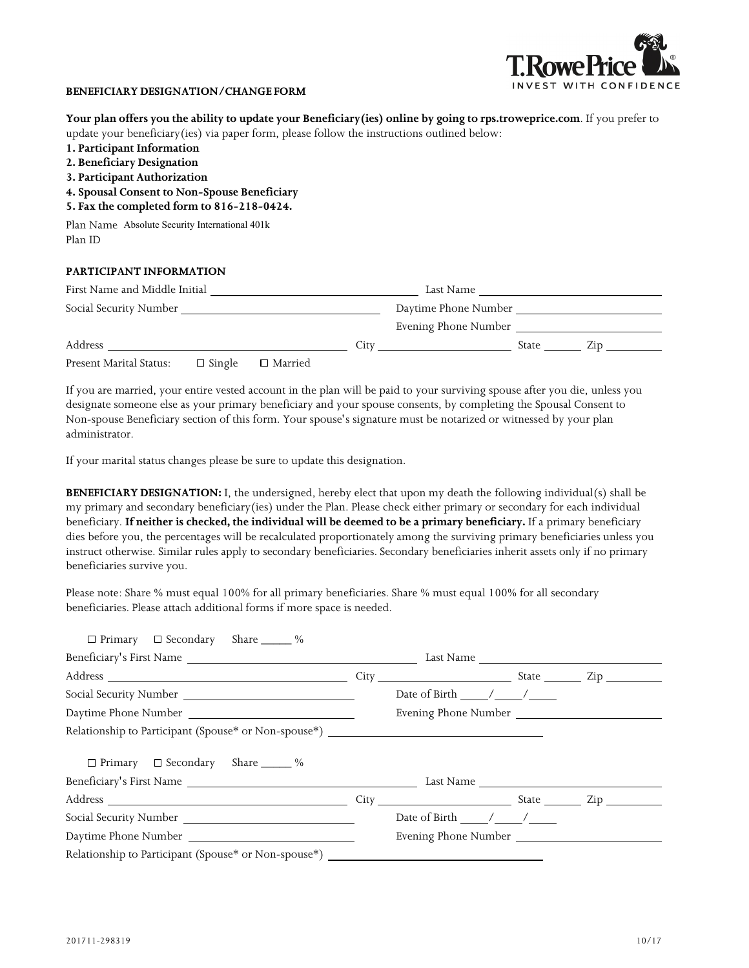

## **BENEFICIARY DESIGNATION/CHANGE FORM**

| Your plan offers you the ability to update your Beneficiary (ies) online by going to rps.troweprice.com. If you prefer to |                      |  |
|---------------------------------------------------------------------------------------------------------------------------|----------------------|--|
| update your beneficiary (ies) via paper form, please follow the instructions outlined below:                              |                      |  |
| 1. Participant Information                                                                                                |                      |  |
| 2. Beneficiary Designation                                                                                                |                      |  |
| 3. Participant Authorization                                                                                              |                      |  |
| 4. Spousal Consent to Non-Spouse Beneficiary                                                                              |                      |  |
| 5. Fax the completed form to 816-218-0424.                                                                                |                      |  |
| Plan Name Absolute Security International 401k                                                                            |                      |  |
| Plan ID                                                                                                                   |                      |  |
| PARTICIPANT INFORMATION                                                                                                   |                      |  |
| First Name and Middle Initial                                                                                             | Last Name            |  |
| Social Security Number                                                                                                    | Daytimo Dhong Number |  |

| Social Security Number  |               |                |      | Daytime Phone Number |       |     |  |
|-------------------------|---------------|----------------|------|----------------------|-------|-----|--|
|                         |               |                |      | Evening Phone Number |       |     |  |
| Address                 |               |                | litv |                      | State | Zin |  |
| Present Marital Status: | $\Box$ Single | $\Box$ Married |      |                      |       |     |  |

If you are married, your entire vested account in the plan will be paid to your surviving spouse after you die, unless you designate someone else as your primary beneficiary and your spouse consents, by completing the Spousal Consent to Non-spouse Beneficiary section of this form. Your spouse's signature must be notarized or witnessed by your plan administrator.

If your marital status changes please be sure to update this designation.

**BENEFICIARY DESIGNATION:** I, the undersigned, hereby elect that upon my death the following individual(s) shall be my primary and secondary beneficiary(ies) under the Plan. Please check either primary or secondary for each individual beneficiary. **If neither is checked, the individual will be deemed to be a primary beneficiary.** If a primary beneficiary dies before you, the percentages will be recalculated proportionately among the surviving primary beneficiaries unless you instruct otherwise. Similar rules apply to secondary beneficiaries. Secondary beneficiaries inherit assets only if no primary beneficiaries survive you.

Please note: Share % must equal 100% for all primary beneficiaries. Share % must equal 100% for all secondary beneficiaries. Please attach additional forms if more space is needed.

| $\Box$ Primary $\Box$ Secondary Share $\_\_\_\_\%$                                |      |                                                                      |                     |
|-----------------------------------------------------------------------------------|------|----------------------------------------------------------------------|---------------------|
| Beneficiary's First Name                                                          |      | Last Name                                                            |                     |
|                                                                                   | City | <u> 1980 - Johann Barn, mars ar breist fan de Fryske kommunent (</u> | State Zip           |
|                                                                                   |      | Date of Birth $\frac{1}{2}$ / $\frac{1}{2}$                          |                     |
|                                                                                   |      | Evening Phone Number                                                 |                     |
| Relationship to Participant (Spouse* or Non-spouse*) ___________________________  |      |                                                                      |                     |
| $\Box$ Primary $\Box$ Secondary Share $\_\_\_\_\%$                                |      |                                                                      |                     |
| Beneficiary's First Name                                                          |      | Last Name                                                            |                     |
|                                                                                   | City | <b>Example 2.1 State</b> State                                       | $\mathsf{Zip} \_\_$ |
|                                                                                   |      | Date of Birth / /                                                    |                     |
| Daytime Phone Number                                                              |      | Evening Phone Number                                                 |                     |
| Relationship to Participant (Spouse* or Non-spouse*) ____________________________ |      |                                                                      |                     |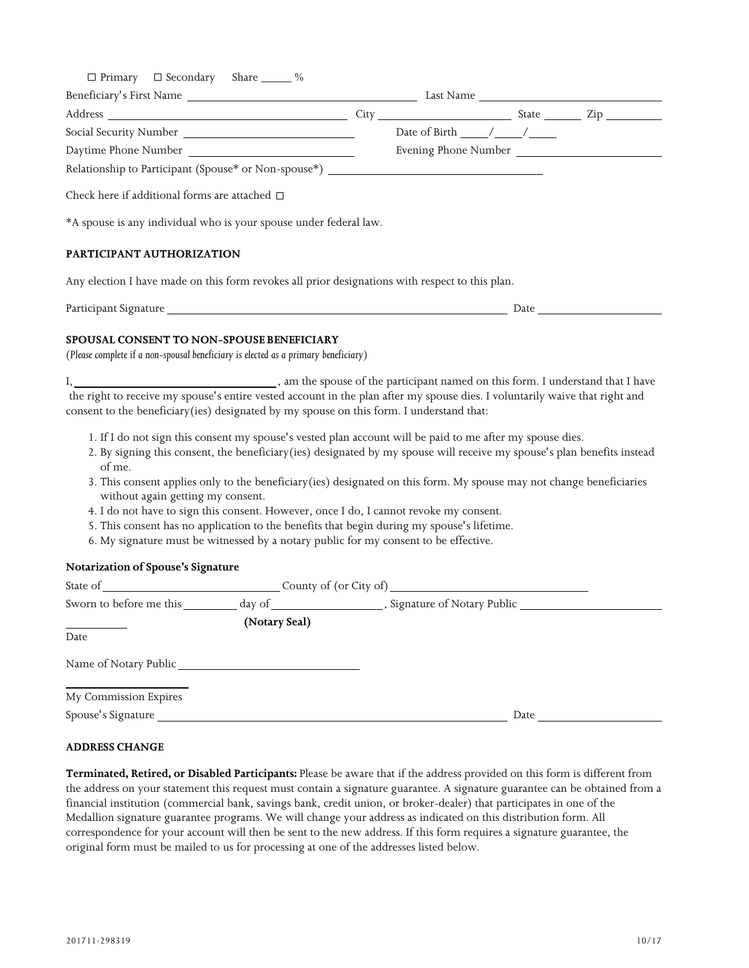| $\Box$ Primary $\Box$ Secondary Share ______ %                                                                                                                                                                                |                                                                                                                                                                                                                                       |                                                |  |  |
|-------------------------------------------------------------------------------------------------------------------------------------------------------------------------------------------------------------------------------|---------------------------------------------------------------------------------------------------------------------------------------------------------------------------------------------------------------------------------------|------------------------------------------------|--|--|
|                                                                                                                                                                                                                               |                                                                                                                                                                                                                                       |                                                |  |  |
|                                                                                                                                                                                                                               |                                                                                                                                                                                                                                       |                                                |  |  |
|                                                                                                                                                                                                                               |                                                                                                                                                                                                                                       | Date of Birth $\frac{1}{\sqrt{1-\frac{1}{2}}}$ |  |  |
|                                                                                                                                                                                                                               |                                                                                                                                                                                                                                       |                                                |  |  |
| Relationship to Participant (Spouse* or Non-spouse*) ___________________________                                                                                                                                              |                                                                                                                                                                                                                                       |                                                |  |  |
| Check here if additional forms are attached $\Box$                                                                                                                                                                            |                                                                                                                                                                                                                                       |                                                |  |  |
| *A spouse is any individual who is your spouse under federal law.                                                                                                                                                             |                                                                                                                                                                                                                                       |                                                |  |  |
| PARTICIPANT AUTHORIZATION                                                                                                                                                                                                     |                                                                                                                                                                                                                                       |                                                |  |  |
| Any election I have made on this form revokes all prior designations with respect to this plan.                                                                                                                               |                                                                                                                                                                                                                                       |                                                |  |  |
|                                                                                                                                                                                                                               |                                                                                                                                                                                                                                       |                                                |  |  |
| <b>SPOUSAL CONSENT TO NON-SPOUSE BENEFICIARY</b><br>(Please complete if a non-spousal beneficiary is elected as a primary beneficiary)                                                                                        |                                                                                                                                                                                                                                       |                                                |  |  |
| the right to receive my spouse's entire vested account in the plan after my spouse dies. I voluntarily waive that right and<br>consent to the beneficiary(ies) designated by my spouse on this form. I understand that:       |                                                                                                                                                                                                                                       |                                                |  |  |
| of me.                                                                                                                                                                                                                        | 1. If I do not sign this consent my spouse's vested plan account will be paid to me after my spouse dies.<br>2. By signing this consent, the beneficiary (ies) designated by my spouse will receive my spouse's plan benefits instead |                                                |  |  |
| without again getting my consent.                                                                                                                                                                                             | 3. This consent applies only to the beneficiary(ies) designated on this form. My spouse may not change beneficiaries                                                                                                                  |                                                |  |  |
|                                                                                                                                                                                                                               | 4. I do not have to sign this consent. However, once I do, I cannot revoke my consent.<br>5. This consent has no application to the benefits that begin during my spouse's lifetime.                                                  |                                                |  |  |
|                                                                                                                                                                                                                               | 6. My signature must be witnessed by a notary public for my consent to be effective.                                                                                                                                                  |                                                |  |  |
| Notarization of Spouse's Signature                                                                                                                                                                                            |                                                                                                                                                                                                                                       |                                                |  |  |
|                                                                                                                                                                                                                               |                                                                                                                                                                                                                                       |                                                |  |  |
|                                                                                                                                                                                                                               |                                                                                                                                                                                                                                       |                                                |  |  |
|                                                                                                                                                                                                                               | (Notary Seal)                                                                                                                                                                                                                         |                                                |  |  |
| Date                                                                                                                                                                                                                          |                                                                                                                                                                                                                                       |                                                |  |  |
|                                                                                                                                                                                                                               |                                                                                                                                                                                                                                       |                                                |  |  |
| My Commission Expires                                                                                                                                                                                                         |                                                                                                                                                                                                                                       |                                                |  |  |
| Spouse's Signature Spouse Spouse Spouse Spouse Spouse Spouse Spouse Spouse Spouse Spouse Spouse Spouse Spouse Spouse Spouse Spouse Spouse Spouse Spouse Spouse Spouse Spouse Spouse Spouse Spouse Spouse Spouse Spouse Spouse |                                                                                                                                                                                                                                       |                                                |  |  |
|                                                                                                                                                                                                                               |                                                                                                                                                                                                                                       |                                                |  |  |

## **ADDRESS CHANGE**

**Terminated, Retired, or Disabled Participants:** Please be aware that if the address provided on this form is different from the address on your statement this request must contain a signature guarantee. A signature guarantee can be obtained from a financial institution (commercial bank, savings bank, credit union, or broker-dealer) that participates in one of the Medallion signature guarantee programs. We will change your address as indicated on this distribution form. All correspondence for your account will then be sent to the new address. If this form requires a signature guarantee, the original form must be mailed to us for processing at one of the addresses listed below.